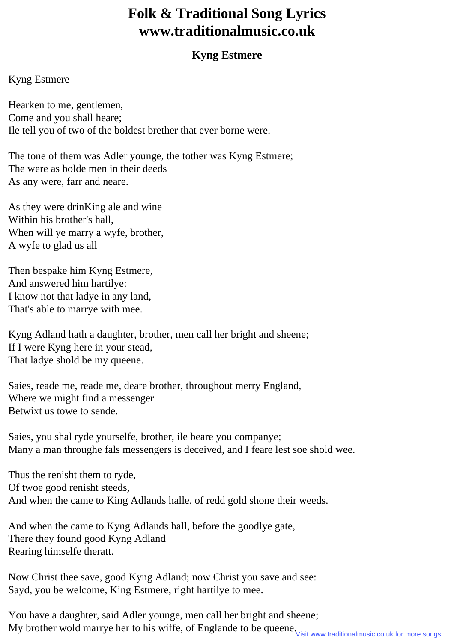## **Folk & Traditional Song Lyrics www.traditionalmusic.co.uk**

## **Kyng Estmere**

## Kyng Estmere

Hearken to me, gentlemen, Come and you shall heare; Ile tell you of two of the boldest brether that ever borne were.

The tone of them was Adler younge, the tother was Kyng Estmere; The were as bolde men in their deeds As any were, farr and neare.

As they were drinKing ale and wine Within his brother's hall, When will ye marry a wyfe, brother, A wyfe to glad us all

Then bespake him Kyng Estmere, And answered him hartilye: I know not that ladye in any land, That's able to marrye with mee.

Kyng Adland hath a daughter, brother, men call her bright and sheene; If I were Kyng here in your stead, That ladye shold be my queene.

Saies, reade me, reade me, deare brother, throughout merry England, Where we might find a messenger Betwixt us towe to sende.

Saies, you shal ryde yourselfe, brother, ile beare you companye; Many a man throughe fals messengers is deceived, and I feare lest soe shold wee.

Thus the renisht them to ryde, Of twoe good renisht steeds, And when the came to King Adlands halle, of redd gold shone their weeds.

And when the came to Kyng Adlands hall, before the goodlye gate, There they found good Kyng Adland Rearing himselfe theratt.

Now Christ thee save, good Kyng Adland; now Christ you save and see: Sayd, you be welcome, King Estmere, right hartilye to mee.

You have a daughter, said Adler younge, men call her bright and sheene; My brother wold marrye her to his wiffe, of Englande to be queene **Visit www.traditionalmusic.co.uk for more songs.**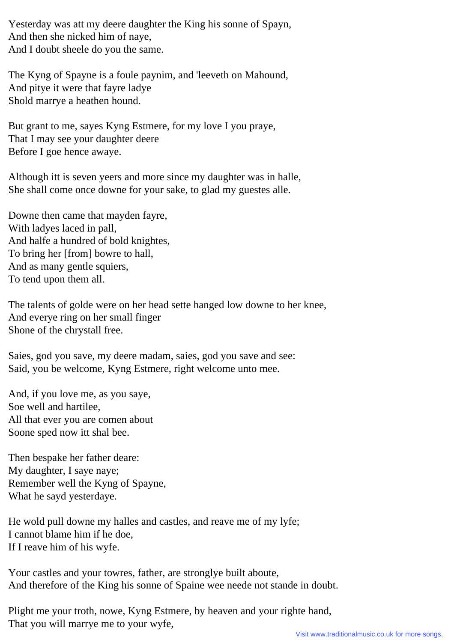Yesterday was att my deere daughter the King his sonne of Spayn, And then she nicked him of naye, And I doubt sheele do you the same.

The Kyng of Spayne is a foule paynim, and 'leeveth on Mahound, And pitye it were that fayre ladye Shold marrye a heathen hound.

But grant to me, sayes Kyng Estmere, for my love I you praye, That I may see your daughter deere Before I goe hence awaye.

Although itt is seven yeers and more since my daughter was in halle, She shall come once downe for your sake, to glad my guestes alle.

Downe then came that mayden fayre, With ladyes laced in pall, And halfe a hundred of bold knightes, To bring her [from] bowre to hall, And as many gentle squiers, To tend upon them all.

The talents of golde were on her head sette hanged low downe to her knee, And everye ring on her small finger Shone of the chrystall free.

Saies, god you save, my deere madam, saies, god you save and see: Said, you be welcome, Kyng Estmere, right welcome unto mee.

And, if you love me, as you saye, Soe well and hartilee, All that ever you are comen about Soone sped now itt shal bee.

Then bespake her father deare: My daughter, I saye naye; Remember well the Kyng of Spayne, What he sayd yesterdaye.

He wold pull downe my halles and castles, and reave me of my lyfe; I cannot blame him if he doe, If I reave him of his wyfe.

Your castles and your towres, father, are stronglye built aboute, And therefore of the King his sonne of Spaine wee neede not stande in doubt.

Plight me your troth, nowe, Kyng Estmere, by heaven and your righte hand, That you will marrye me to your wyfe,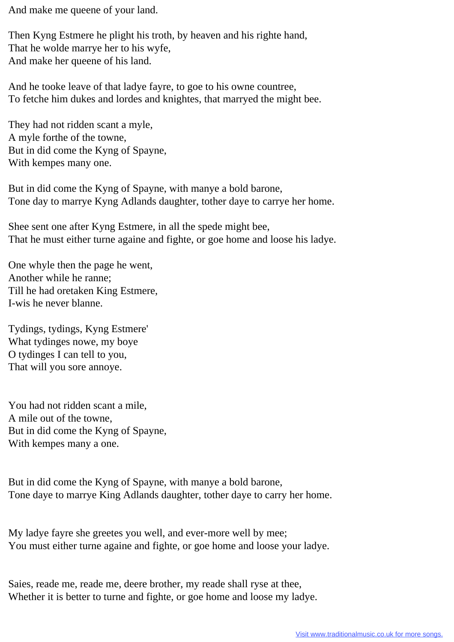And make me queene of your land.

Then Kyng Estmere he plight his troth, by heaven and his righte hand, That he wolde marrye her to his wyfe, And make her queene of his land.

And he tooke leave of that ladye fayre, to goe to his owne countree, To fetche him dukes and lordes and knightes, that marryed the might bee.

They had not ridden scant a myle, A myle forthe of the towne, But in did come the Kyng of Spayne, With kempes many one.

But in did come the Kyng of Spayne, with manye a bold barone, Tone day to marrye Kyng Adlands daughter, tother daye to carrye her home.

Shee sent one after Kyng Estmere, in all the spede might bee, That he must either turne againe and fighte, or goe home and loose his ladye.

One whyle then the page he went, Another while he ranne; Till he had oretaken King Estmere, I-wis he never blanne.

Tydings, tydings, Kyng Estmere' What tydinges nowe, my boye O tydinges I can tell to you, That will you sore annoye.

You had not ridden scant a mile, A mile out of the towne, But in did come the Kyng of Spayne, With kempes many a one.

But in did come the Kyng of Spayne, with manye a bold barone, Tone daye to marrye King Adlands daughter, tother daye to carry her home.

My ladye fayre she greetes you well, and ever-more well by mee; You must either turne againe and fighte, or goe home and loose your ladye.

Saies, reade me, reade me, deere brother, my reade shall ryse at thee, Whether it is better to turne and fighte, or goe home and loose my ladye.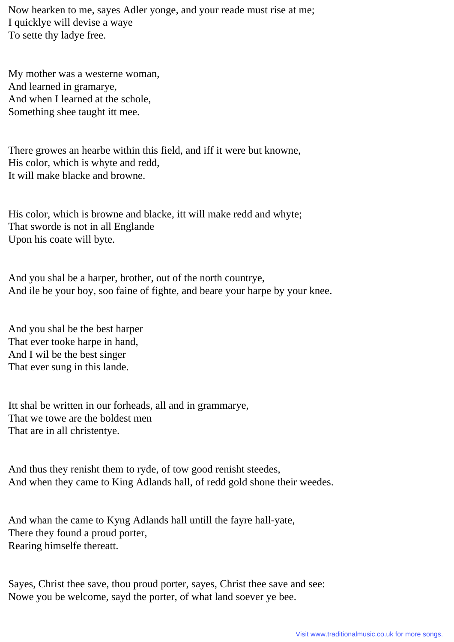Now hearken to me, sayes Adler yonge, and your reade must rise at me; I quicklye will devise a waye To sette thy ladye free.

My mother was a westerne woman, And learned in gramarye, And when I learned at the schole, Something shee taught itt mee.

There growes an hearbe within this field, and iff it were but knowne, His color, which is whyte and redd, It will make blacke and browne.

His color, which is browne and blacke, itt will make redd and whyte; That sworde is not in all Englande Upon his coate will byte.

And you shal be a harper, brother, out of the north countrye, And ile be your boy, soo faine of fighte, and beare your harpe by your knee.

And you shal be the best harper That ever tooke harpe in hand, And I wil be the best singer That ever sung in this lande.

Itt shal be written in our forheads, all and in grammarye, That we towe are the boldest men That are in all christentye.

And thus they renisht them to ryde, of tow good renisht steedes, And when they came to King Adlands hall, of redd gold shone their weedes.

And whan the came to Kyng Adlands hall untill the fayre hall-yate, There they found a proud porter, Rearing himselfe thereatt.

Sayes, Christ thee save, thou proud porter, sayes, Christ thee save and see: Nowe you be welcome, sayd the porter, of what land soever ye bee.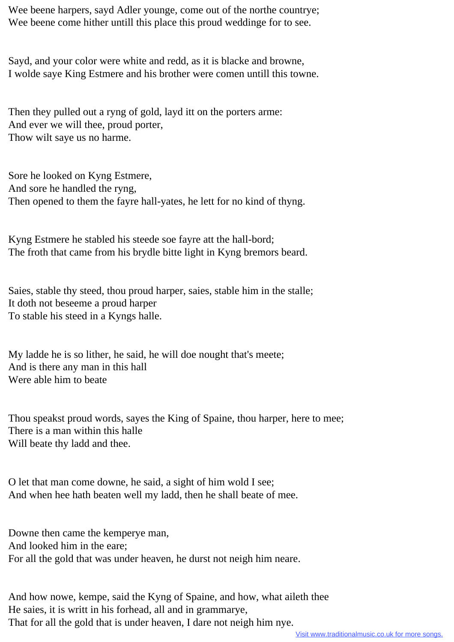Wee beene harpers, sayd Adler younge, come out of the northe countrye; Wee beene come hither untill this place this proud weddinge for to see.

Sayd, and your color were white and redd, as it is blacke and browne, I wolde saye King Estmere and his brother were comen untill this towne.

Then they pulled out a ryng of gold, layd itt on the porters arme: And ever we will thee, proud porter, Thow wilt saye us no harme.

Sore he looked on Kyng Estmere, And sore he handled the ryng, Then opened to them the fayre hall-yates, he lett for no kind of thyng.

Kyng Estmere he stabled his steede soe fayre att the hall-bord; The froth that came from his brydle bitte light in Kyng bremors beard.

Saies, stable thy steed, thou proud harper, saies, stable him in the stalle; It doth not beseeme a proud harper To stable his steed in a Kyngs halle.

My ladde he is so lither, he said, he will doe nought that's meete; And is there any man in this hall Were able him to beate

Thou speakst proud words, sayes the King of Spaine, thou harper, here to mee; There is a man within this halle Will beate thy ladd and thee.

O let that man come downe, he said, a sight of him wold I see; And when hee hath beaten well my ladd, then he shall beate of mee.

Downe then came the kemperye man, And looked him in the eare; For all the gold that was under heaven, he durst not neigh him neare.

And how nowe, kempe, said the Kyng of Spaine, and how, what aileth thee He saies, it is writt in his forhead, all and in grammarye, That for all the gold that is under heaven, I dare not neigh him nye.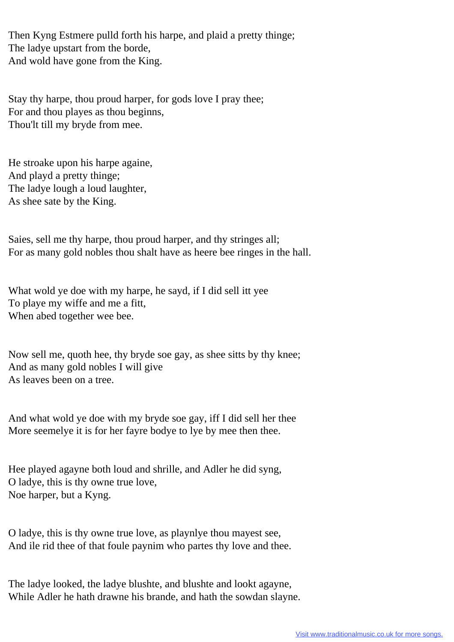Then Kyng Estmere pulld forth his harpe, and plaid a pretty thinge; The ladye upstart from the borde, And wold have gone from the King.

Stay thy harpe, thou proud harper, for gods love I pray thee; For and thou playes as thou beginns, Thou'lt till my bryde from mee.

He stroake upon his harpe againe, And playd a pretty thinge; The ladye lough a loud laughter, As shee sate by the King.

Saies, sell me thy harpe, thou proud harper, and thy stringes all; For as many gold nobles thou shalt have as heere bee ringes in the hall.

What wold ye doe with my harpe, he sayd, if I did sell itt yee To playe my wiffe and me a fitt, When abed together wee bee.

Now sell me, quoth hee, thy bryde soe gay, as shee sitts by thy knee; And as many gold nobles I will give As leaves been on a tree.

And what wold ye doe with my bryde soe gay, iff I did sell her thee More seemelye it is for her fayre bodye to lye by mee then thee.

Hee played agayne both loud and shrille, and Adler he did syng, O ladye, this is thy owne true love, Noe harper, but a Kyng.

O ladye, this is thy owne true love, as playnlye thou mayest see, And ile rid thee of that foule paynim who partes thy love and thee.

The ladye looked, the ladye blushte, and blushte and lookt agayne, While Adler he hath drawne his brande, and hath the sowdan slayne.